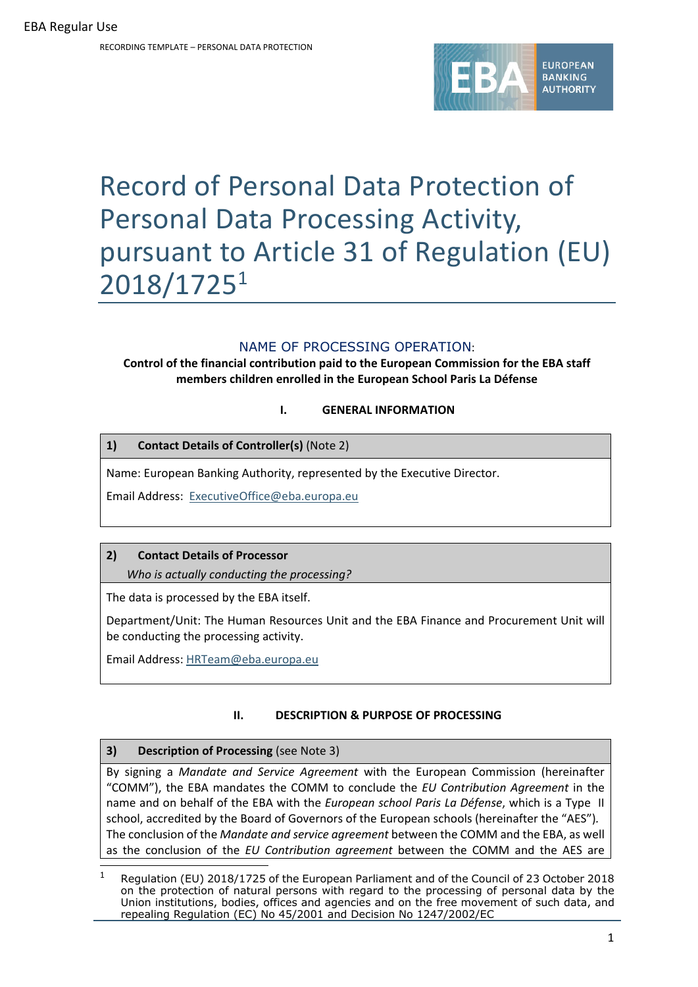RECORDING TEMPLATE – PERSONAL DATA PROTECTION



# Record of Personal Data Protection of Personal Data Processing Activity, pursuant to Article 31 of Regulation (EU) 2018/17251

# NAME OF PROCESSING OPERATION:

**Control of the financial contribution paid to the European Commission for the EBA staff members children enrolled in the European School Paris La Défense**

## **I. GENERAL INFORMATION**

## **1) Contact Details of Controller(s)** (Note 2)

Name: European Banking Authority, represented by the Executive Director.

Email Address: ExecutiveOffice@eba.europa.eu

## **2) Contact Details of Processor**

*Who is actually conducting the processing?*

The data is processed by the EBA itself.

Department/Unit: The Human Resources Unit and the EBA Finance and Procurement Unit will be conducting the processing activity.

Email Address: HRTeam@eba.europa.eu

## **II. DESCRIPTION & PURPOSE OF PROCESSING**

## **3) Description of Processing** (see Note 3)

By signing a *Mandate and Service Agreement* with the European Commission (hereinafter "COMM"), the EBA mandates the COMM to conclude the *EU Contribution Agreement* in the name and on behalf of the EBA with the *European school Paris La Défense*, which is a Type II school, accredited by the Board of Governors of the European schools (hereinafter the "AES")*.* The conclusion of the *Mandate and service agreement* between the COMM and the EBA, as well as the conclusion of the *EU Contribution agreement* between the COMM and the AES are

Regulation (EU) 2018/1725 of the European Parliament and of the Council of 23 October 2018 on the protection of natural persons with regard to the processing of personal data by the Union institutions, bodies, offices and agencies and on the free movement of such data, and repealing Regulation (EC) No 45/2001 and Decision No 1247/2002/EC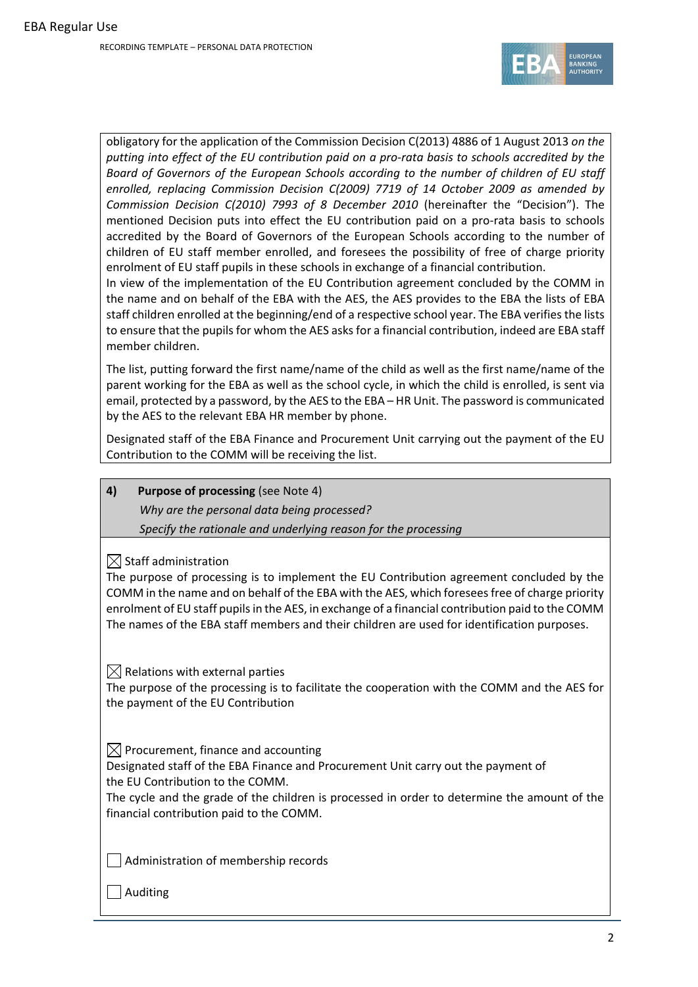

obligatory for the application of the Commission Decision C(2013) 4886 of 1 August 2013 *on the* putting into effect of the EU contribution paid on a pro-rata basis to schools accredited by the *Board of Governors of the European Schools according to the number of children of EU staff enrolled, replacing Commission Decision C(2009) 7719 of 14 October 2009 as amended by Commission Decision C(2010) 7993 of 8 December 2010* (hereinafter the "Decision"). The mentioned Decision puts into effect the EU contribution paid on a pro-rata basis to schools accredited by the Board of Governors of the European Schools according to the number of children of EU staff member enrolled, and foresees the possibility of free of charge priority enrolment of EU staff pupils in these schools in exchange of a financial contribution.

In view of the implementation of the EU Contribution agreement concluded by the COMM in the name and on behalf of the EBA with the AES, the AES provides to the EBA the lists of EBA staff children enrolled at the beginning/end of a respective school year. The EBA verifiesthe lists to ensure that the pupils for whom the AES asks for a financial contribution, indeed are EBA staff member children.

The list, putting forward the first name/name of the child as well as the first name/name of the parent working for the EBA as well as the school cycle, in which the child is enrolled, is sent via email, protected by a password, by the AES to the EBA – HR Unit. The password is communicated by the AES to the relevant EBA HR member by phone.

Designated staff of the EBA Finance and Procurement Unit carrying out the payment of the EU Contribution to the COMM will be receiving the list.

**4) Purpose of processing** (see Note 4)

*Why are the personal data being processed? Specify the rationale and underlying reason for the processing* 

 $\boxtimes$  Staff administration

The purpose of processing is to implement the EU Contribution agreement concluded by the COMM in the name and on behalf of the EBA with the AES, which foreseesfree of charge priority enrolment of EU staff pupilsin the AES, in exchange of a financial contribution paid to the COMM The names of the EBA staff members and their children are used for identification purposes.

 $\boxtimes$  Relations with external parties

The purpose of the processing is to facilitate the cooperation with the COMM and the AES for the payment of the EU Contribution

 $\boxtimes$  Procurement, finance and accounting

Designated staff of the EBA Finance and Procurement Unit carry out the payment of the EU Contribution to the COMM.

The cycle and the grade of the children is processed in order to determine the amount of the financial contribution paid to the COMM.

 $\vert \ \vert$  Administration of membership records

Auditing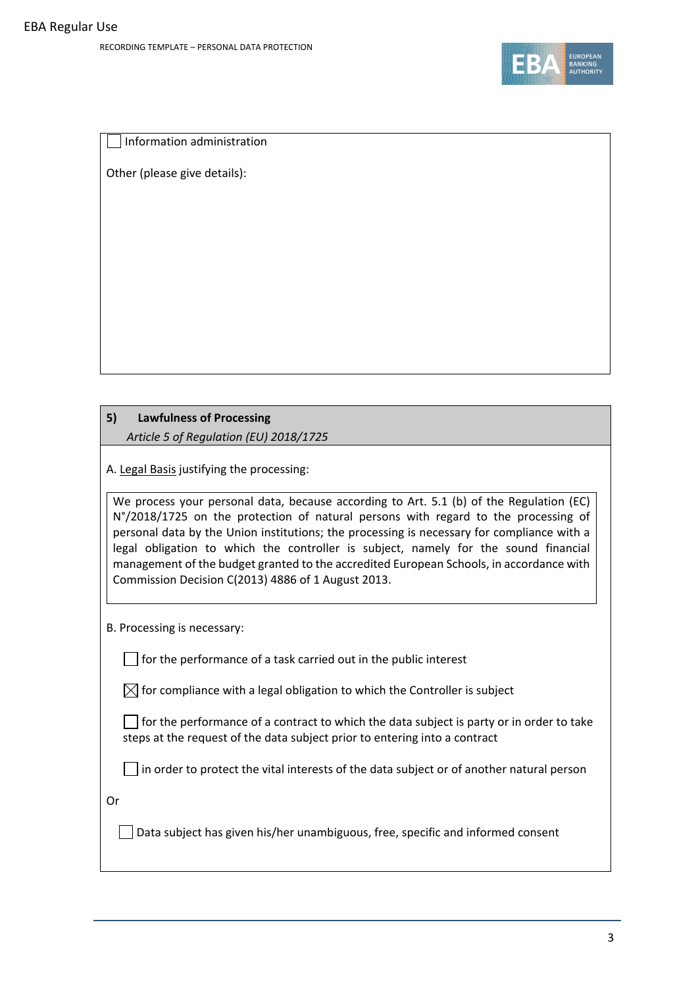

Information administration

Other (please give details):

# **5) Lawfulness of Processing**  *Article 5 of Regulation (EU) 2018/1725*

A. Legal Basis justifying the processing:

We process your personal data, because according to Art. 5.1 (b) of the Regulation (EC) N°/2018/1725 on the protection of natural persons with regard to the processing of personal data by the Union institutions; the processing is necessary for compliance with a legal obligation to which the controller is subject, namely for the sound financial management of the budget granted to the accredited European Schools, in accordance with Commission Decision C(2013) 4886 of 1 August 2013.

B. Processing is necessary:

 $\Box$  for the performance of a task carried out in the public interest

 $\boxtimes$  for compliance with a legal obligation to which the Controller is subject

 $\Box$  for the performance of a contract to which the data subject is party or in order to take steps at the request of the data subject prior to entering into a contract

 $\Box$  in order to protect the vital interests of the data subject or of another natural person

Or

Data subject has given his/her unambiguous, free, specific and informed consent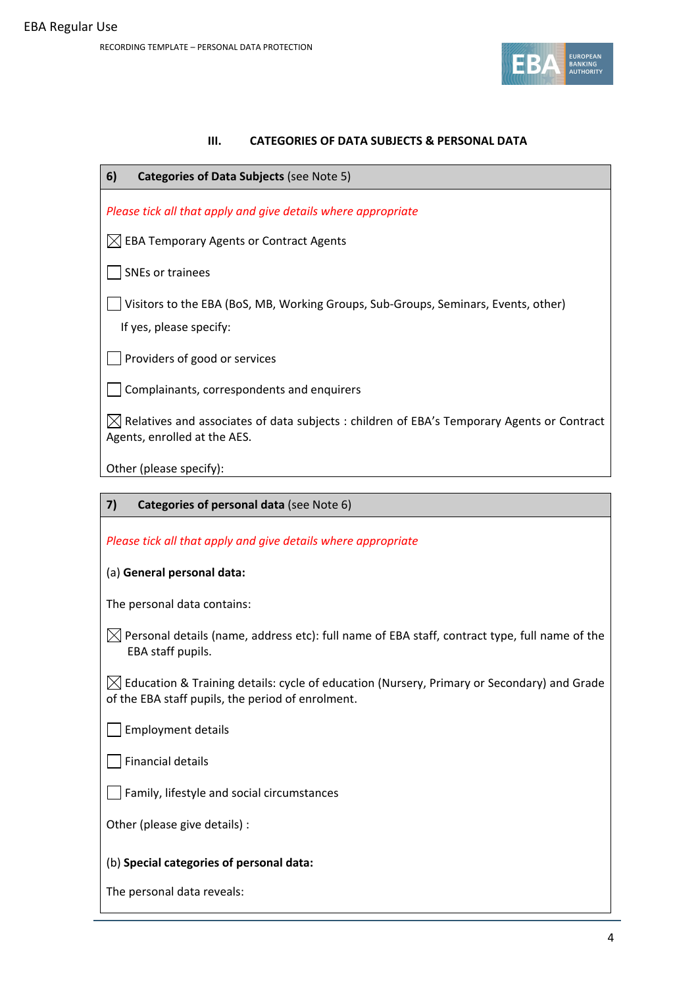

# **III. CATEGORIES OF DATA SUBJECTS & PERSONAL DATA**

| 6)<br>Categories of Data Subjects (see Note 5)                                                                                                  |  |  |  |
|-------------------------------------------------------------------------------------------------------------------------------------------------|--|--|--|
| Please tick all that apply and give details where appropriate                                                                                   |  |  |  |
| <b>EBA Temporary Agents or Contract Agents</b>                                                                                                  |  |  |  |
| <b>SNEs or trainees</b>                                                                                                                         |  |  |  |
| Visitors to the EBA (BoS, MB, Working Groups, Sub-Groups, Seminars, Events, other)<br>If yes, please specify:                                   |  |  |  |
| Providers of good or services                                                                                                                   |  |  |  |
| Complainants, correspondents and enquirers                                                                                                      |  |  |  |
| $\boxtimes$ Relatives and associates of data subjects : children of EBA's Temporary Agents or Contract<br>Agents, enrolled at the AES.          |  |  |  |
| Other (please specify):                                                                                                                         |  |  |  |
|                                                                                                                                                 |  |  |  |
| 7)<br>Categories of personal data (see Note 6)                                                                                                  |  |  |  |
| Please tick all that apply and give details where appropriate                                                                                   |  |  |  |
| (a) General personal data:                                                                                                                      |  |  |  |
| The personal data contains:                                                                                                                     |  |  |  |
| $\boxtimes$ Personal details (name, address etc): full name of EBA staff, contract type, full name of the<br>EBA staff pupils.                  |  |  |  |
| Education & Training details: cycle of education (Nursery, Primary or Secondary) and Grade<br>of the EBA staff pupils, the period of enrolment. |  |  |  |

Employment details

 $\Box$  Financial details

Family, lifestyle and social circumstances

Other (please give details) :

## (b) **Special categories of personal data:**

The personal data reveals: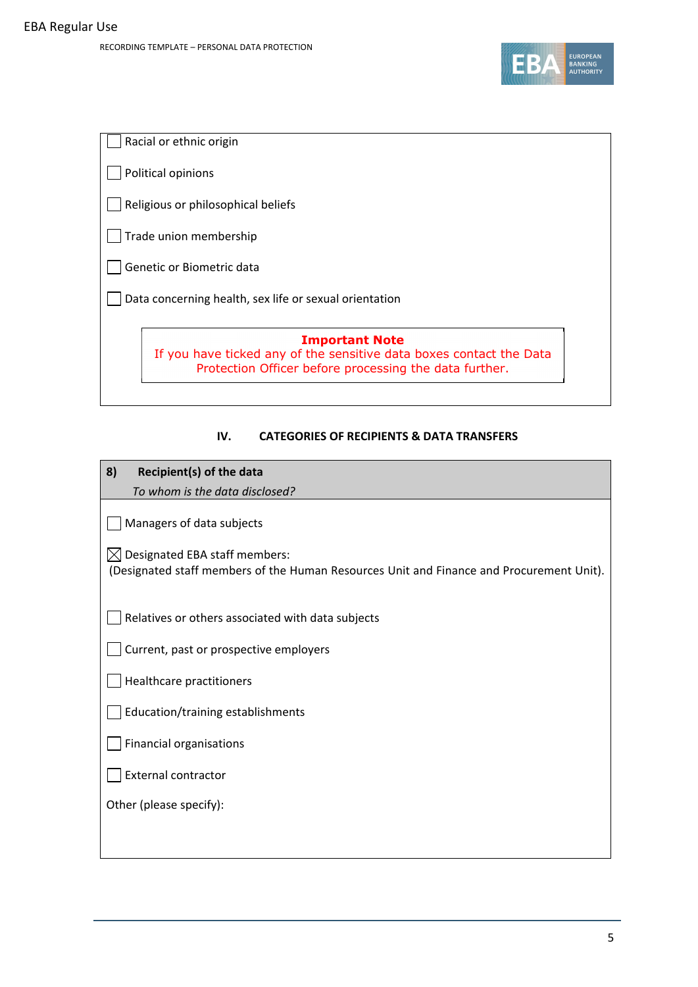

|                                    | Racial or ethnic origin                                                                                                       |  |  |
|------------------------------------|-------------------------------------------------------------------------------------------------------------------------------|--|--|
|                                    | Political opinions                                                                                                            |  |  |
| Religious or philosophical beliefs |                                                                                                                               |  |  |
| Trade union membership             |                                                                                                                               |  |  |
| Genetic or Biometric data          |                                                                                                                               |  |  |
|                                    | Data concerning health, sex life or sexual orientation                                                                        |  |  |
|                                    | <b>Important Note</b>                                                                                                         |  |  |
|                                    | If you have ticked any of the sensitive data boxes contact the Data<br>Protection Officer before processing the data further. |  |  |
|                                    |                                                                                                                               |  |  |

# **IV. CATEGORIES OF RECIPIENTS & DATA TRANSFERS**

| 8)<br>Recipient(s) of the data                                                                                                                                                                                                                          |  |  |  |
|---------------------------------------------------------------------------------------------------------------------------------------------------------------------------------------------------------------------------------------------------------|--|--|--|
| To whom is the data disclosed?                                                                                                                                                                                                                          |  |  |  |
| Managers of data subjects<br>Designated EBA staff members:                                                                                                                                                                                              |  |  |  |
| (Designated staff members of the Human Resources Unit and Finance and Procurement Unit).                                                                                                                                                                |  |  |  |
| Relatives or others associated with data subjects<br>Current, past or prospective employers<br>Healthcare practitioners<br>Education/training establishments<br><b>Financial organisations</b><br><b>External contractor</b><br>Other (please specify): |  |  |  |
|                                                                                                                                                                                                                                                         |  |  |  |
|                                                                                                                                                                                                                                                         |  |  |  |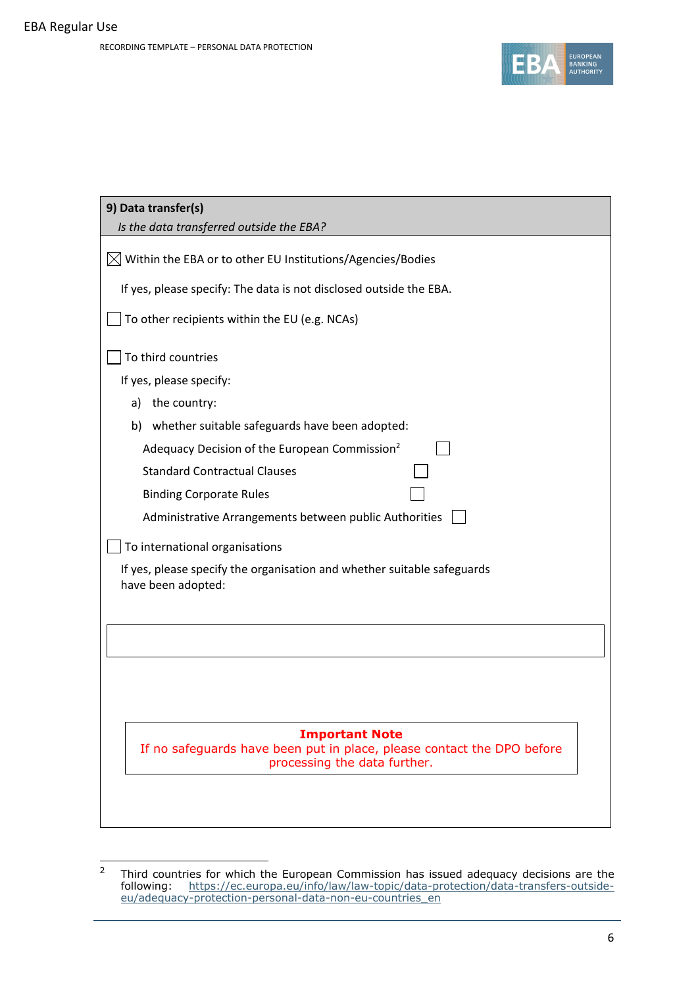

| 9) Data transfer(s)<br>Is the data transferred outside the EBA?                                        |  |  |  |
|--------------------------------------------------------------------------------------------------------|--|--|--|
|                                                                                                        |  |  |  |
| $\boxtimes$ Within the EBA or to other EU Institutions/Agencies/Bodies                                 |  |  |  |
| If yes, please specify: The data is not disclosed outside the EBA.                                     |  |  |  |
| To other recipients within the EU (e.g. NCAs)                                                          |  |  |  |
| To third countries                                                                                     |  |  |  |
| If yes, please specify:                                                                                |  |  |  |
| the country:<br>a)                                                                                     |  |  |  |
| whether suitable safeguards have been adopted:<br>b)                                                   |  |  |  |
| Adequacy Decision of the European Commission <sup>2</sup>                                              |  |  |  |
| <b>Standard Contractual Clauses</b>                                                                    |  |  |  |
| <b>Binding Corporate Rules</b>                                                                         |  |  |  |
| Administrative Arrangements between public Authorities                                                 |  |  |  |
| To international organisations                                                                         |  |  |  |
| If yes, please specify the organisation and whether suitable safeguards<br>have been adopted:          |  |  |  |
|                                                                                                        |  |  |  |
|                                                                                                        |  |  |  |
|                                                                                                        |  |  |  |
|                                                                                                        |  |  |  |
|                                                                                                        |  |  |  |
| <b>Important Note</b>                                                                                  |  |  |  |
| If no safeguards have been put in place, please contact the DPO before<br>processing the data further. |  |  |  |
|                                                                                                        |  |  |  |
|                                                                                                        |  |  |  |

<sup>&</sup>lt;sup>2</sup> Third countries for which the European Commission has issued adequacy decisions are the following: https://ec.europa.eu/info/law/law-topic/data-protection/data-transfers-outsideeu/adequacy-protection-personal-data-non-eu-countries\_en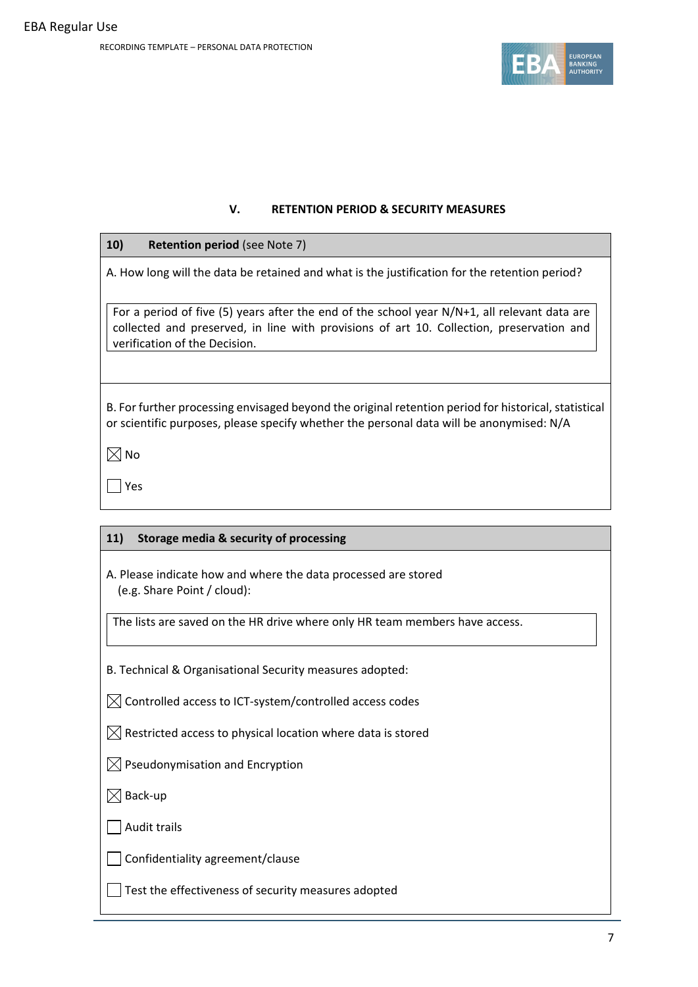

## **V. RETENTION PERIOD & SECURITY MEASURES**

## **10) Retention period** (see Note 7)

A. How long will the data be retained and what is the justification for the retention period?

For a period of five (5) years after the end of the school year N/N+1, all relevant data are collected and preserved, in line with provisions of art 10. Collection, preservation and verification of the Decision.

B. For further processing envisaged beyond the original retention period for historical, statistical or scientific purposes, please specify whether the personal data will be anonymised: N/A

 $\boxtimes$  No

Yes

# **11) Storage media & security of processing**

A. Please indicate how and where the data processed are stored (e.g. Share Point / cloud):

The lists are saved on the HR drive where only HR team members have access.

B. Technical & Organisational Security measures adopted:

 $\boxtimes$  Controlled access to ICT-system/controlled access codes

 $\boxtimes$  Restricted access to physical location where data is stored

 $\boxtimes$  Pseudonymisation and Encryption

 $\boxtimes$  Back-up

 $\Box$  Audit trails

Confidentiality agreement/clause

 $\Box$  Test the effectiveness of security measures adopted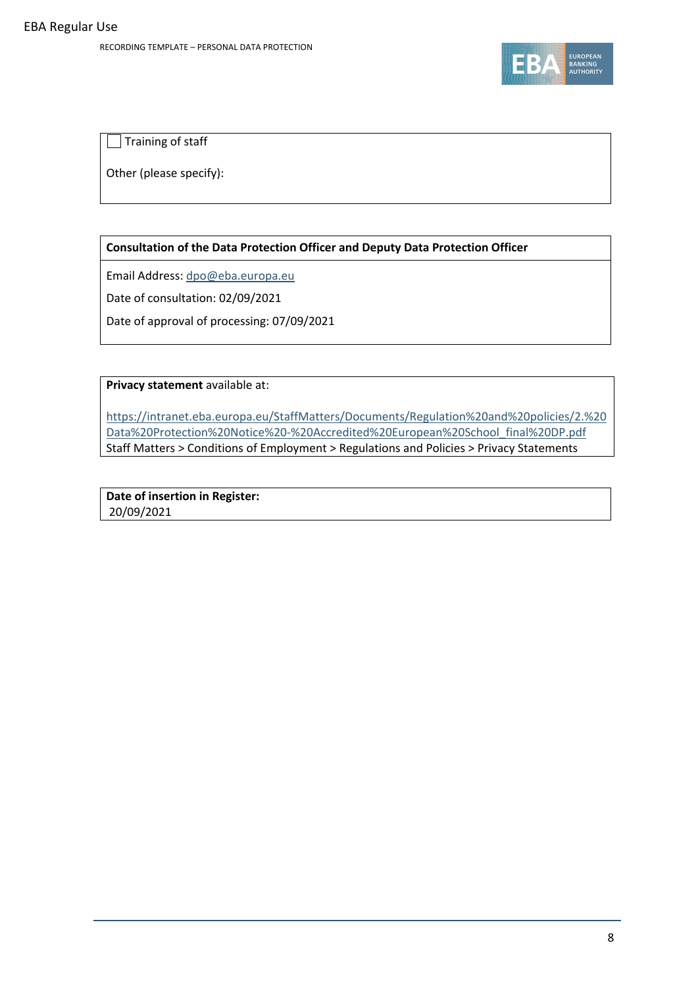

Training of staff

Other (please specify):

# **Consultation of the Data Protection Officer and Deputy Data Protection Officer**

Email Address: dpo@eba.europa.eu

Date of consultation: 02/09/2021

Date of approval of processing: 07/09/2021

**Privacy statement** available at:

https://intranet.eba.europa.eu/StaffMatters/Documents/Regulation%20and%20policies/2.%20 Data%20Protection%20Notice%20‐%20Accredited%20European%20School\_final%20DP.pdf Staff Matters > Conditions of Employment > Regulations and Policies > Privacy Statements

**Date of insertion in Register:** 20/09/2021